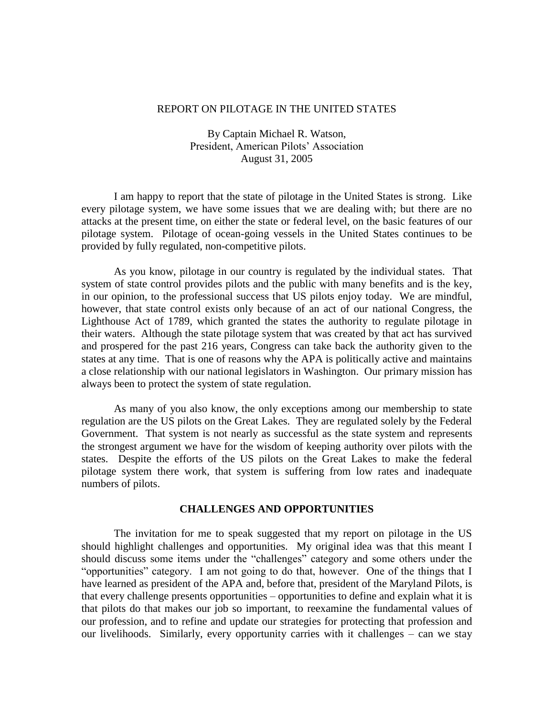## REPORT ON PILOTAGE IN THE UNITED STATES

By Captain Michael R. Watson, President, American Pilots' Association August 31, 2005

I am happy to report that the state of pilotage in the United States is strong. Like every pilotage system, we have some issues that we are dealing with; but there are no attacks at the present time, on either the state or federal level, on the basic features of our pilotage system. Pilotage of ocean-going vessels in the United States continues to be provided by fully regulated, non-competitive pilots.

As you know, pilotage in our country is regulated by the individual states. That system of state control provides pilots and the public with many benefits and is the key, in our opinion, to the professional success that US pilots enjoy today. We are mindful, however, that state control exists only because of an act of our national Congress, the Lighthouse Act of 1789, which granted the states the authority to regulate pilotage in their waters. Although the state pilotage system that was created by that act has survived and prospered for the past 216 years, Congress can take back the authority given to the states at any time. That is one of reasons why the APA is politically active and maintains a close relationship with our national legislators in Washington. Our primary mission has always been to protect the system of state regulation.

As many of you also know, the only exceptions among our membership to state regulation are the US pilots on the Great Lakes. They are regulated solely by the Federal Government. That system is not nearly as successful as the state system and represents the strongest argument we have for the wisdom of keeping authority over pilots with the states. Despite the efforts of the US pilots on the Great Lakes to make the federal pilotage system there work, that system is suffering from low rates and inadequate numbers of pilots.

## **CHALLENGES AND OPPORTUNITIES**

The invitation for me to speak suggested that my report on pilotage in the US should highlight challenges and opportunities. My original idea was that this meant I should discuss some items under the "challenges" category and some others under the "opportunities" category. I am not going to do that, however. One of the things that I have learned as president of the APA and, before that, president of the Maryland Pilots, is that every challenge presents opportunities – opportunities to define and explain what it is that pilots do that makes our job so important, to reexamine the fundamental values of our profession, and to refine and update our strategies for protecting that profession and our livelihoods. Similarly, every opportunity carries with it challenges – can we stay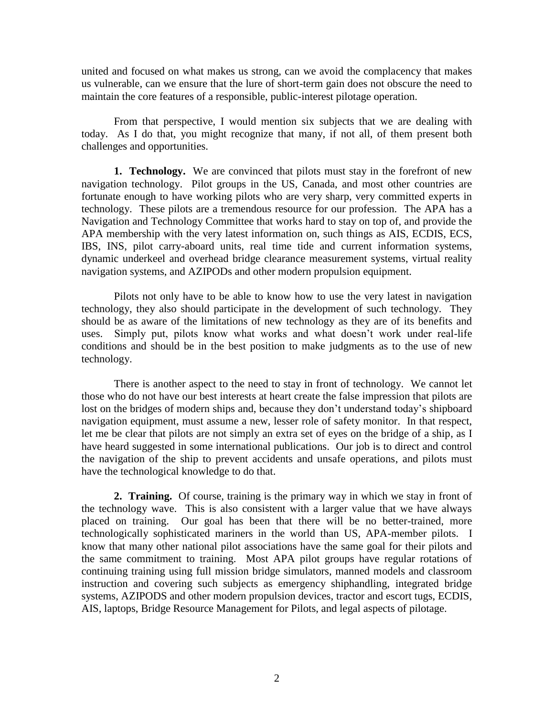united and focused on what makes us strong, can we avoid the complacency that makes us vulnerable, can we ensure that the lure of short-term gain does not obscure the need to maintain the core features of a responsible, public-interest pilotage operation.

From that perspective, I would mention six subjects that we are dealing with today. As I do that, you might recognize that many, if not all, of them present both challenges and opportunities.

**1. Technology.** We are convinced that pilots must stay in the forefront of new navigation technology. Pilot groups in the US, Canada, and most other countries are fortunate enough to have working pilots who are very sharp, very committed experts in technology. These pilots are a tremendous resource for our profession. The APA has a Navigation and Technology Committee that works hard to stay on top of, and provide the APA membership with the very latest information on, such things as AIS, ECDIS, ECS, IBS, INS, pilot carry-aboard units, real time tide and current information systems, dynamic underkeel and overhead bridge clearance measurement systems, virtual reality navigation systems, and AZIPODs and other modern propulsion equipment.

Pilots not only have to be able to know how to use the very latest in navigation technology, they also should participate in the development of such technology. They should be as aware of the limitations of new technology as they are of its benefits and uses. Simply put, pilots know what works and what doesn't work under real-life conditions and should be in the best position to make judgments as to the use of new technology.

There is another aspect to the need to stay in front of technology. We cannot let those who do not have our best interests at heart create the false impression that pilots are lost on the bridges of modern ships and, because they don't understand today's shipboard navigation equipment, must assume a new, lesser role of safety monitor. In that respect, let me be clear that pilots are not simply an extra set of eyes on the bridge of a ship, as I have heard suggested in some international publications. Our job is to direct and control the navigation of the ship to prevent accidents and unsafe operations, and pilots must have the technological knowledge to do that.

**2. Training.** Of course, training is the primary way in which we stay in front of the technology wave. This is also consistent with a larger value that we have always placed on training. Our goal has been that there will be no better-trained, more technologically sophisticated mariners in the world than US, APA-member pilots. I know that many other national pilot associations have the same goal for their pilots and the same commitment to training. Most APA pilot groups have regular rotations of continuing training using full mission bridge simulators, manned models and classroom instruction and covering such subjects as emergency shiphandling, integrated bridge systems, AZIPODS and other modern propulsion devices, tractor and escort tugs, ECDIS, AIS, laptops, Bridge Resource Management for Pilots, and legal aspects of pilotage.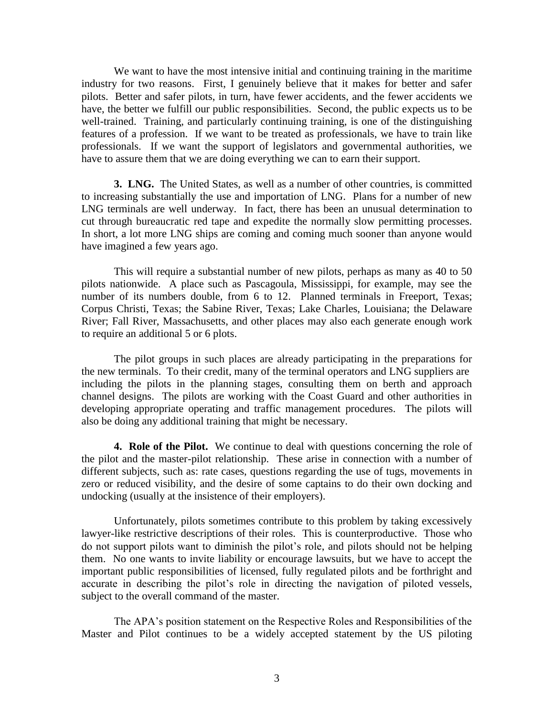We want to have the most intensive initial and continuing training in the maritime industry for two reasons. First, I genuinely believe that it makes for better and safer pilots. Better and safer pilots, in turn, have fewer accidents, and the fewer accidents we have, the better we fulfill our public responsibilities. Second, the public expects us to be well-trained. Training, and particularly continuing training, is one of the distinguishing features of a profession. If we want to be treated as professionals, we have to train like professionals. If we want the support of legislators and governmental authorities, we have to assure them that we are doing everything we can to earn their support.

**3. LNG.** The United States, as well as a number of other countries, is committed to increasing substantially the use and importation of LNG. Plans for a number of new LNG terminals are well underway. In fact, there has been an unusual determination to cut through bureaucratic red tape and expedite the normally slow permitting processes. In short, a lot more LNG ships are coming and coming much sooner than anyone would have imagined a few years ago.

This will require a substantial number of new pilots, perhaps as many as 40 to 50 pilots nationwide. A place such as Pascagoula, Mississippi, for example, may see the number of its numbers double, from 6 to 12. Planned terminals in Freeport, Texas; Corpus Christi, Texas; the Sabine River, Texas; Lake Charles, Louisiana; the Delaware River; Fall River, Massachusetts, and other places may also each generate enough work to require an additional 5 or 6 plots.

The pilot groups in such places are already participating in the preparations for the new terminals. To their credit, many of the terminal operators and LNG suppliers are including the pilots in the planning stages, consulting them on berth and approach channel designs. The pilots are working with the Coast Guard and other authorities in developing appropriate operating and traffic management procedures. The pilots will also be doing any additional training that might be necessary.

**4. Role of the Pilot.** We continue to deal with questions concerning the role of the pilot and the master-pilot relationship. These arise in connection with a number of different subjects, such as: rate cases, questions regarding the use of tugs, movements in zero or reduced visibility, and the desire of some captains to do their own docking and undocking (usually at the insistence of their employers).

Unfortunately, pilots sometimes contribute to this problem by taking excessively lawyer-like restrictive descriptions of their roles. This is counterproductive. Those who do not support pilots want to diminish the pilot's role, and pilots should not be helping them. No one wants to invite liability or encourage lawsuits, but we have to accept the important public responsibilities of licensed, fully regulated pilots and be forthright and accurate in describing the pilot's role in directing the navigation of piloted vessels, subject to the overall command of the master.

The APA's position statement on the Respective Roles and Responsibilities of the Master and Pilot continues to be a widely accepted statement by the US piloting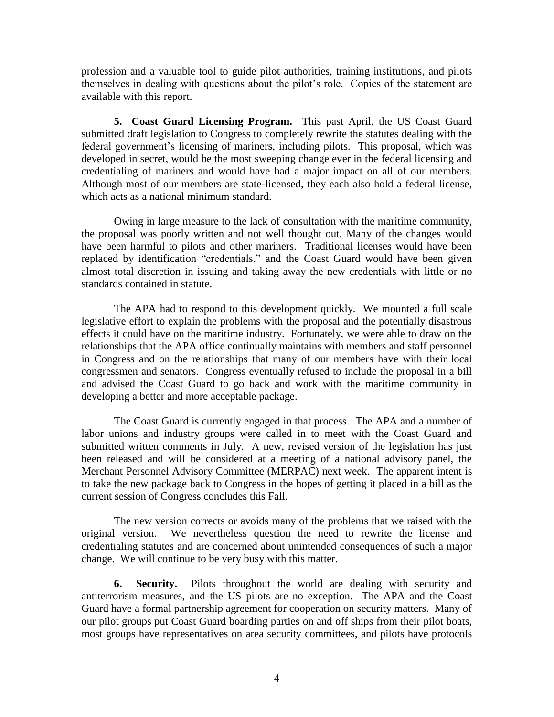profession and a valuable tool to guide pilot authorities, training institutions, and pilots themselves in dealing with questions about the pilot's role. Copies of the statement are available with this report.

**5. Coast Guard Licensing Program.** This past April, the US Coast Guard submitted draft legislation to Congress to completely rewrite the statutes dealing with the federal government's licensing of mariners, including pilots. This proposal, which was developed in secret, would be the most sweeping change ever in the federal licensing and credentialing of mariners and would have had a major impact on all of our members. Although most of our members are state-licensed, they each also hold a federal license, which acts as a national minimum standard.

Owing in large measure to the lack of consultation with the maritime community, the proposal was poorly written and not well thought out. Many of the changes would have been harmful to pilots and other mariners. Traditional licenses would have been replaced by identification "credentials," and the Coast Guard would have been given almost total discretion in issuing and taking away the new credentials with little or no standards contained in statute.

The APA had to respond to this development quickly. We mounted a full scale legislative effort to explain the problems with the proposal and the potentially disastrous effects it could have on the maritime industry. Fortunately, we were able to draw on the relationships that the APA office continually maintains with members and staff personnel in Congress and on the relationships that many of our members have with their local congressmen and senators. Congress eventually refused to include the proposal in a bill and advised the Coast Guard to go back and work with the maritime community in developing a better and more acceptable package.

The Coast Guard is currently engaged in that process. The APA and a number of labor unions and industry groups were called in to meet with the Coast Guard and submitted written comments in July. A new, revised version of the legislation has just been released and will be considered at a meeting of a national advisory panel, the Merchant Personnel Advisory Committee (MERPAC) next week. The apparent intent is to take the new package back to Congress in the hopes of getting it placed in a bill as the current session of Congress concludes this Fall.

The new version corrects or avoids many of the problems that we raised with the original version. We nevertheless question the need to rewrite the license and credentialing statutes and are concerned about unintended consequences of such a major change. We will continue to be very busy with this matter.

**6. Security.** Pilots throughout the world are dealing with security and antiterrorism measures, and the US pilots are no exception. The APA and the Coast Guard have a formal partnership agreement for cooperation on security matters. Many of our pilot groups put Coast Guard boarding parties on and off ships from their pilot boats, most groups have representatives on area security committees, and pilots have protocols